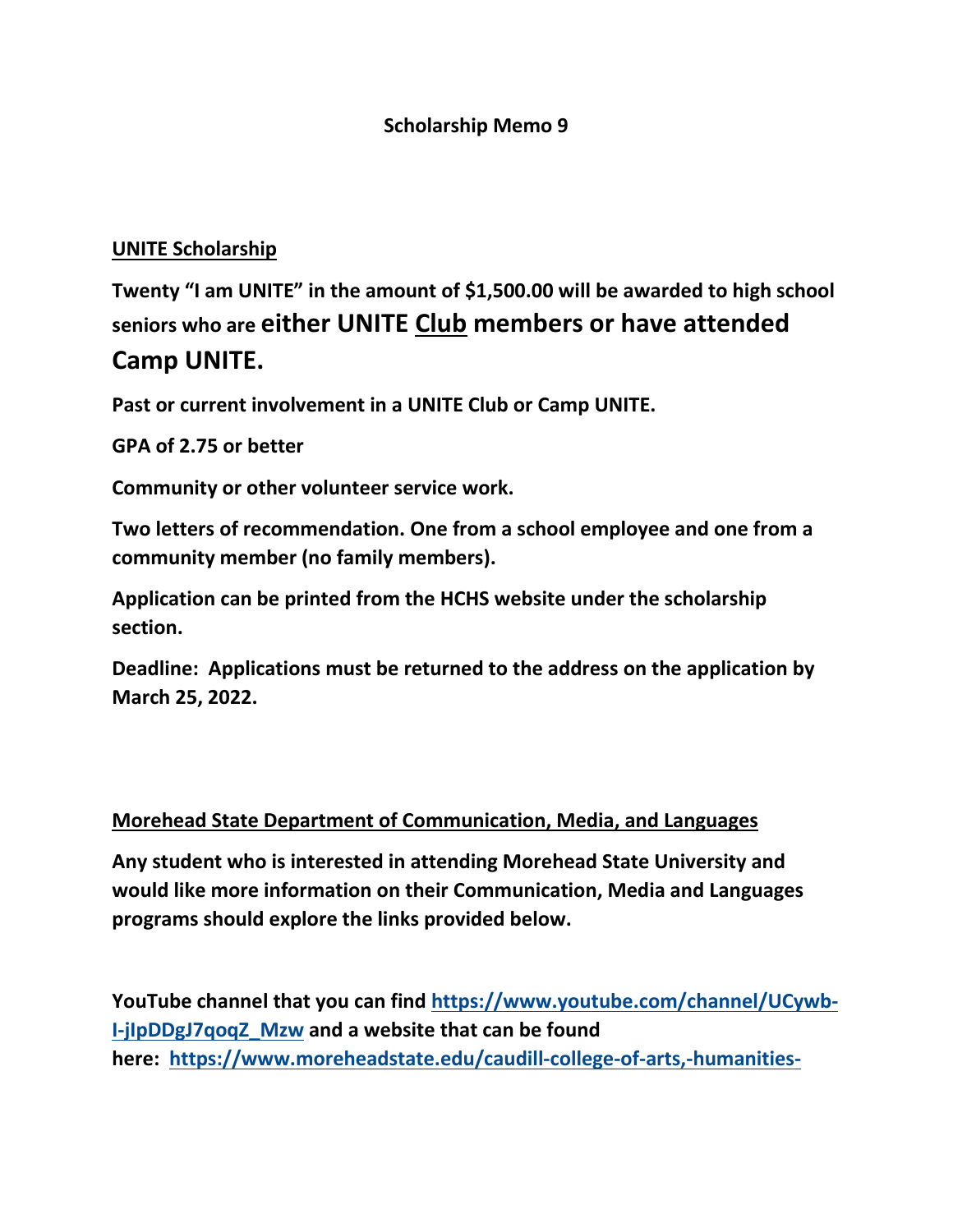### **Scholarship Memo 9**

## **UNITE Scholarship**

**Twenty "I am UNITE" in the amount of \$1,500.00 will be awarded to high school seniors who are either UNITE Club members or have attended Camp UNITE.**

**Past or current involvement in a UNITE Club or Camp UNITE.**

**GPA of 2.75 or better**

**Community or other volunteer service work.**

**Two letters of recommendation. One from a school employee and one from a community member (no family members).**

**Application can be printed from the HCHS website under the scholarship section.**

**Deadline: Applications must be returned to the address on the application by March 25, 2022.**

#### **Morehead State Department of Communication, Media, and Languages**

**Any student who is interested in attending Morehead State University and would like more information on their Communication, Media and Languages programs should explore the links provided below.**

**YouTube channel that you can find [https://www.youtube.com/channel/UCywb-](https://www.youtube.com/channel/UCywb-I-jIpDDgJ7qoqZ_Mzw)[I-jIpDDgJ7qoqZ\\_Mzw](https://www.youtube.com/channel/UCywb-I-jIpDDgJ7qoqZ_Mzw) and a website that can be found here: [https://www.moreheadstate.edu/caudill-college-of-arts,-humanities-](https://www.moreheadstate.edu/caudill-college-of-arts,-humanities-and-social-sci/communication,-media-and-languages)**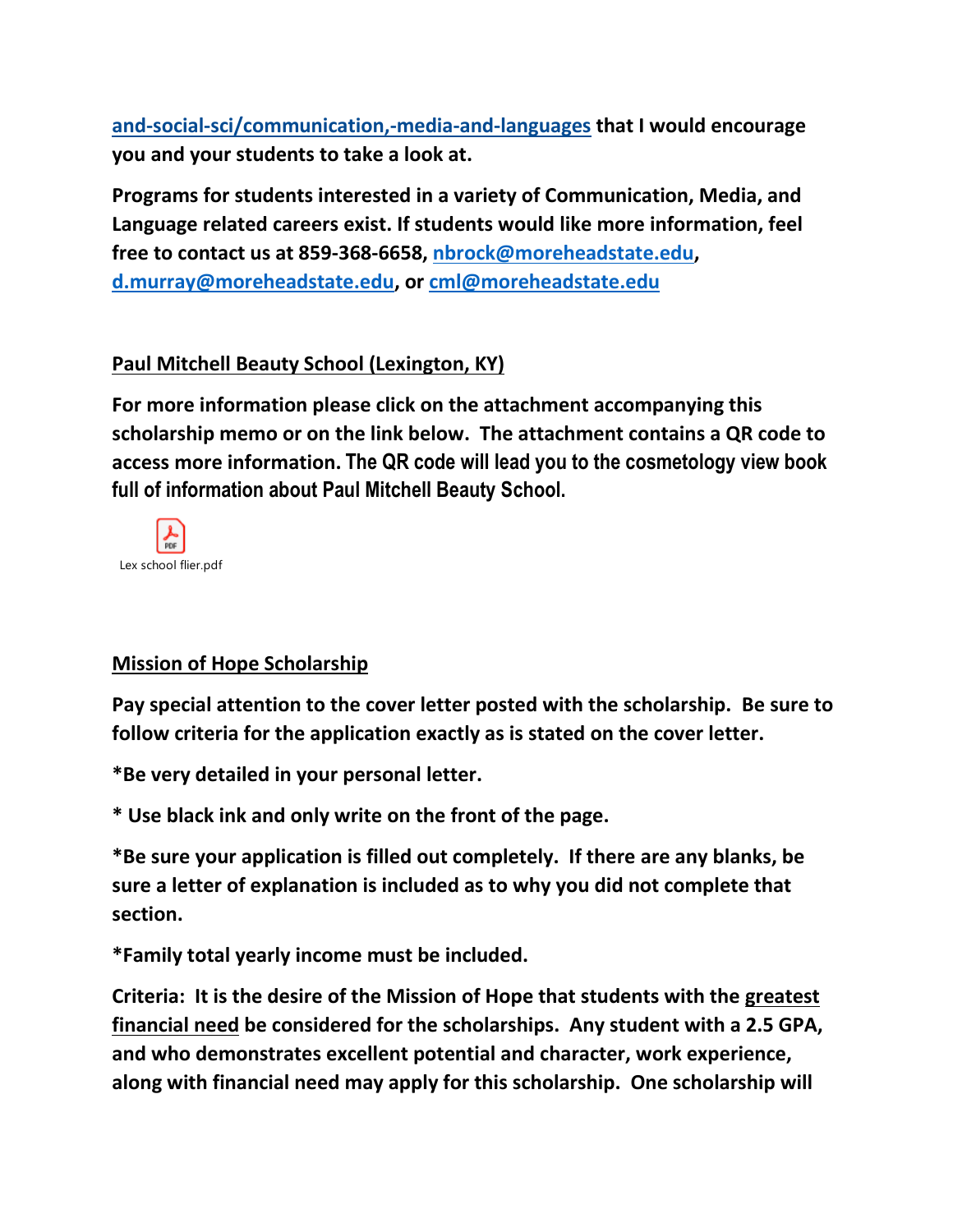**[and-social-sci/communication,-media-and-languages](https://www.moreheadstate.edu/caudill-college-of-arts,-humanities-and-social-sci/communication,-media-and-languages) that I would encourage you and your students to take a look at.**

**Programs for students interested in a variety of Communication, Media, and Language related careers exist. If students would like more information, feel free to contact us at 859-368-6658, [nbrock@moreheadstate.edu,](mailto:nbrock@moreheadstate.edu) [d.murray@moreheadstate.edu,](mailto:d.murray@moreheadstate.edu) or [cml@moreheadstate.edu](mailto:cml@moreheadstate.edu)**

# **Paul Mitchell Beauty School (Lexington, KY)**

**For more information please click on the attachment accompanying this scholarship memo or on the link below. The attachment contains a QR code to access more information. The QR code will lead you to the cosmetology view book full of information about Paul Mitchell Beauty School.**



## **Mission of Hope Scholarship**

**Pay special attention to the cover letter posted with the scholarship. Be sure to follow criteria for the application exactly as is stated on the cover letter.** 

**\*Be very detailed in your personal letter.**

**\* Use black ink and only write on the front of the page.**

**\*Be sure your application is filled out completely. If there are any blanks, be sure a letter of explanation is included as to why you did not complete that section.**

**\*Family total yearly income must be included.**

**Criteria: It is the desire of the Mission of Hope that students with the greatest financial need be considered for the scholarships. Any student with a 2.5 GPA, and who demonstrates excellent potential and character, work experience, along with financial need may apply for this scholarship. One scholarship will**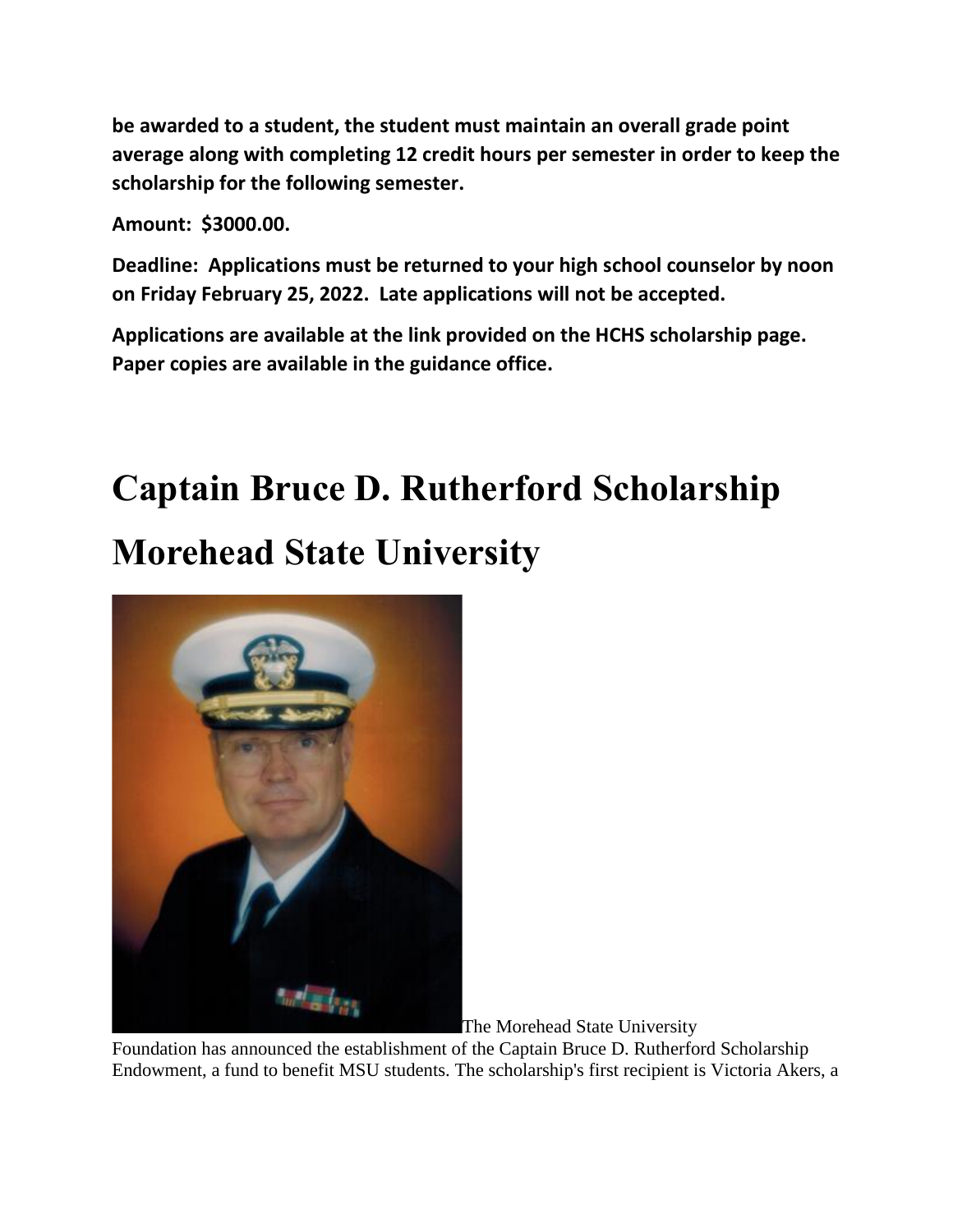**be awarded to a student, the student must maintain an overall grade point average along with completing 12 credit hours per semester in order to keep the scholarship for the following semester.**

**Amount: \$3000.00.** 

**Deadline: Applications must be returned to your high school counselor by noon on Friday February 25, 2022. Late applications will not be accepted.**

**Applications are available at the link provided on the HCHS scholarship page. Paper copies are available in the guidance office.**

# **Captain Bruce D. Rutherford Scholarship Morehead State University**



The Morehead State University

Foundation has announced the establishment of the Captain Bruce D. Rutherford Scholarship Endowment, a fund to benefit MSU students. The scholarship's first recipient is Victoria Akers, a